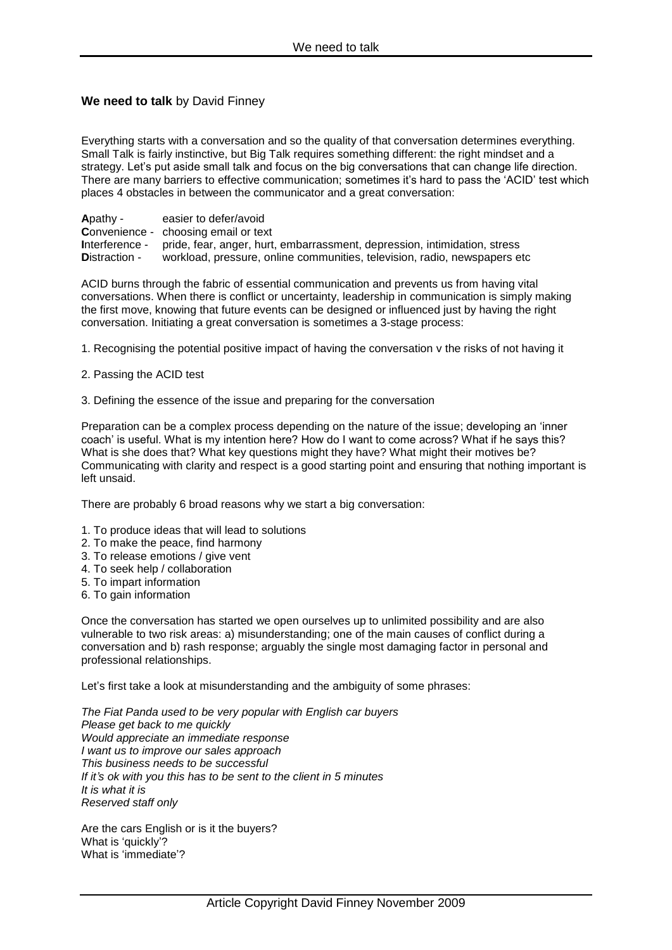## **We need to talk** by David Finney

Everything starts with a conversation and so the quality of that conversation determines everything. Small Talk is fairly instinctive, but Big Talk requires something different: the right mindset and a strategy. Let's put aside small talk and focus on the big conversations that can change life direction. There are many barriers to effective communication; sometimes it's hard to pass the 'ACID' test which places 4 obstacles in between the communicator and a great conversation:

**A**pathy - easier to defer/avoid **C**onvenience - choosing email or text **I**nterference - pride, fear, anger, hurt, embarrassment, depression, intimidation, stress Distraction - workload, pressure, online communities, television, radio, newspapers etc

ACID burns through the fabric of essential communication and prevents us from having vital conversations. When there is conflict or uncertainty, leadership in communication is simply making the first move, knowing that future events can be designed or influenced just by having the right conversation. Initiating a great conversation is sometimes a 3-stage process:

- 1. Recognising the potential positive impact of having the conversation v the risks of not having it
- 2. Passing the ACID test
- 3. Defining the essence of the issue and preparing for the conversation

Preparation can be a complex process depending on the nature of the issue; developing an 'inner coach' is useful. What is my intention here? How do I want to come across? What if he says this? What is she does that? What key questions might they have? What might their motives be? Communicating with clarity and respect is a good starting point and ensuring that nothing important is left unsaid.

There are probably 6 broad reasons why we start a big conversation:

- 1. To produce ideas that will lead to solutions
- 2. To make the peace, find harmony
- 3. To release emotions / give vent
- 4. To seek help / collaboration
- 5. To impart information
- 6. To gain information

Once the conversation has started we open ourselves up to unlimited possibility and are also vulnerable to two risk areas: a) misunderstanding; one of the main causes of conflict during a conversation and b) rash response; arguably the single most damaging factor in personal and professional relationships.

Let's first take a look at misunderstanding and the ambiguity of some phrases:

*The Fiat Panda used to be very popular with English car buyers Please get back to me quickly Would appreciate an immediate response I want us to improve our sales approach This business needs to be successful If it's ok with you this has to be sent to the client in 5 minutes It is what it is Reserved staff only*

Are the cars English or is it the buyers? What is 'quickly'? What is 'immediate'?